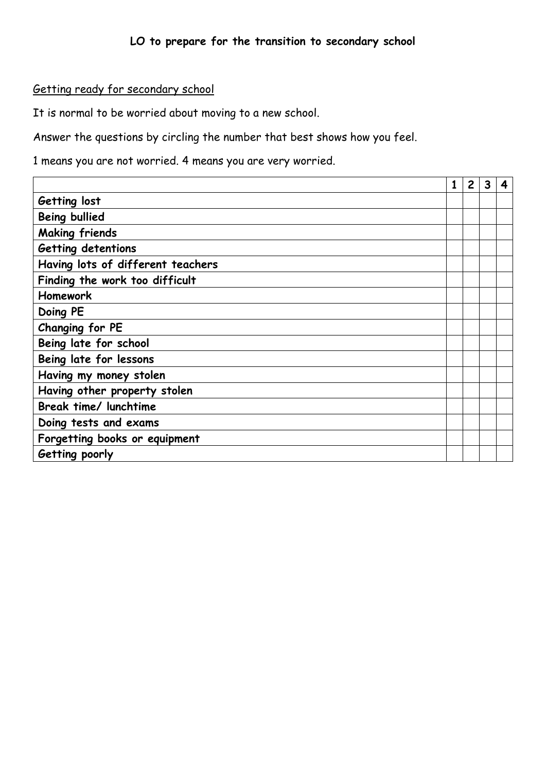# Getting ready for secondary school

It is normal to be worried about moving to a new school.

Answer the questions by circling the number that best shows how you feel.

1 means you are not worried. 4 means you are very worried.

|                                   | 1 | $\overline{2}$ | 3 | 4 |
|-----------------------------------|---|----------------|---|---|
| Getting lost                      |   |                |   |   |
| <b>Being bullied</b>              |   |                |   |   |
| <b>Making friends</b>             |   |                |   |   |
| Getting detentions                |   |                |   |   |
| Having lots of different teachers |   |                |   |   |
| Finding the work too difficult    |   |                |   |   |
| <b>Homework</b>                   |   |                |   |   |
| Doing PE                          |   |                |   |   |
| Changing for PE                   |   |                |   |   |
| Being late for school             |   |                |   |   |
| Being late for lessons            |   |                |   |   |
| Having my money stolen            |   |                |   |   |
| Having other property stolen      |   |                |   |   |
| Break time/ lunchtime             |   |                |   |   |
| Doing tests and exams             |   |                |   |   |
| Forgetting books or equipment     |   |                |   |   |
| Getting poorly                    |   |                |   |   |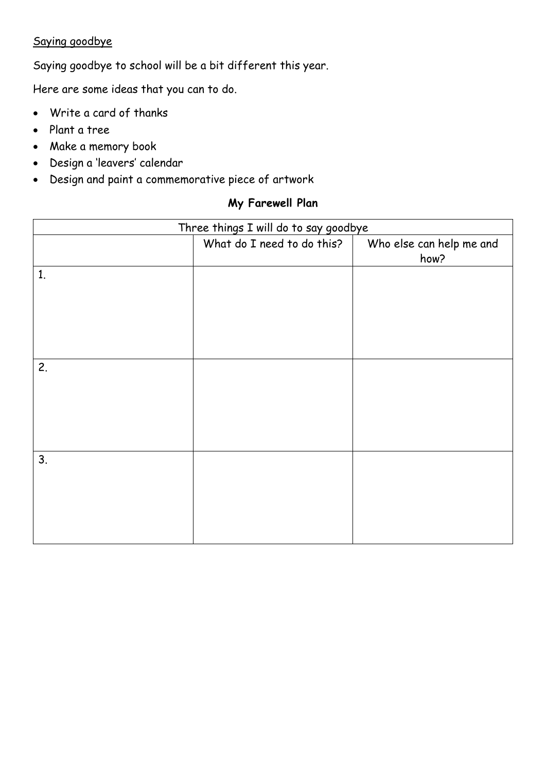# Saying goodbye

Saying goodbye to school will be a bit different this year.

Here are some ideas that you can to do.

- Write a card of thanks
- Plant a tree
- Make a memory book
- Design a 'leavers' calendar
- Design and paint a commemorative piece of artwork

# **My Farewell Plan**

| Three things I will do to say goodbye |                            |                                  |  |  |
|---------------------------------------|----------------------------|----------------------------------|--|--|
|                                       | What do I need to do this? | Who else can help me and<br>how? |  |  |
| 1.                                    |                            |                                  |  |  |
|                                       |                            |                                  |  |  |
|                                       |                            |                                  |  |  |
|                                       |                            |                                  |  |  |
|                                       |                            |                                  |  |  |
| 2.                                    |                            |                                  |  |  |
|                                       |                            |                                  |  |  |
|                                       |                            |                                  |  |  |
|                                       |                            |                                  |  |  |
|                                       |                            |                                  |  |  |
| 3.                                    |                            |                                  |  |  |
|                                       |                            |                                  |  |  |
|                                       |                            |                                  |  |  |
|                                       |                            |                                  |  |  |
|                                       |                            |                                  |  |  |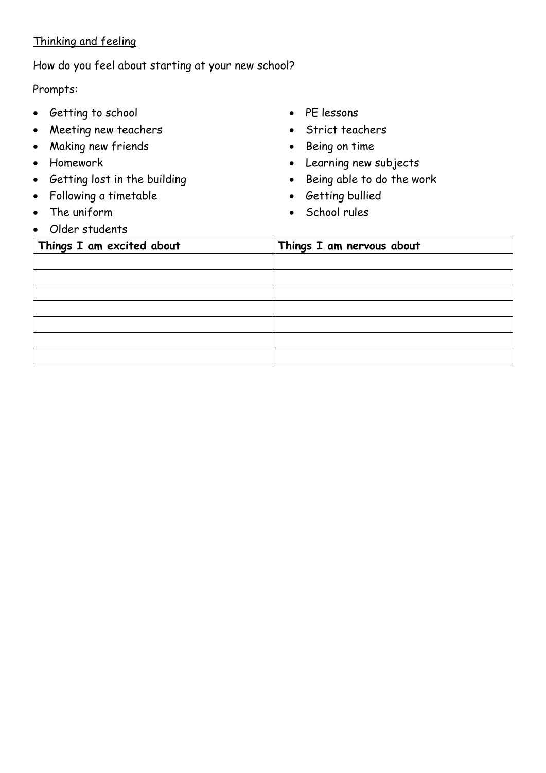# Thinking and feeling

### How do you feel about starting at your new school?

#### Prompts:

- Getting to school
- Meeting new teachers
- Making new friends
- Homework
- Getting lost in the building
- Following a timetable
- The uniform
- Older students
- PE lessons
- Strict teachers
- Being on time
- Learning new subjects
- Being able to do the work
- Getting bullied
- School rules

| Things I am excited about | Things I am nervous about |  |
|---------------------------|---------------------------|--|
|                           |                           |  |
|                           |                           |  |
|                           |                           |  |
|                           |                           |  |
|                           |                           |  |
|                           |                           |  |
|                           |                           |  |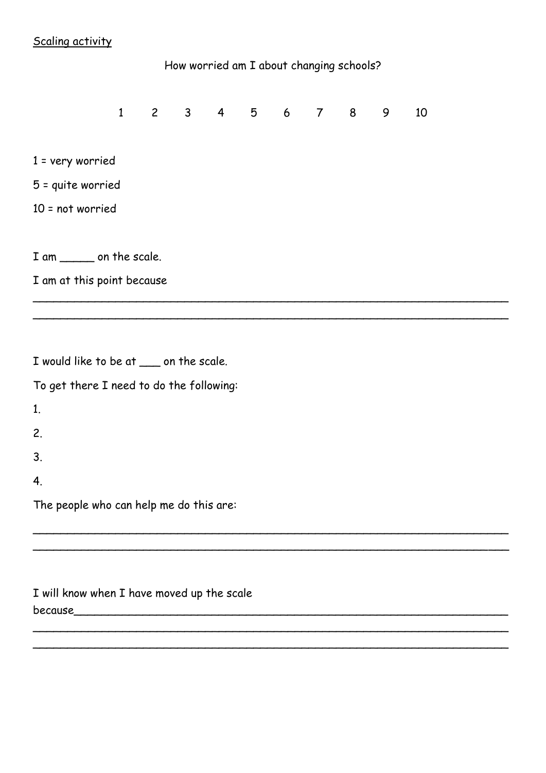# Scaling activity

# How worried am I about changing schools? 1 2 3 4 5 6 7 8 9 10 1 = very worried 5 = quite worried 10 = not worried I am \_\_\_\_\_\_\_ on the scale. I am at this point because \_\_\_\_\_\_\_\_\_\_\_\_\_\_\_\_\_\_\_\_\_\_\_\_\_\_\_\_\_\_\_\_\_\_\_\_\_\_\_\_\_\_\_\_\_\_\_\_\_\_\_\_\_\_\_\_\_\_\_\_\_\_\_\_\_\_\_\_\_

\_\_\_\_\_\_\_\_\_\_\_\_\_\_\_\_\_\_\_\_\_\_\_\_\_\_\_\_\_\_\_\_\_\_\_\_\_\_\_\_\_\_\_\_\_\_\_\_\_\_\_\_\_\_\_\_\_\_\_\_\_\_\_\_\_\_\_\_\_

\_\_\_\_\_\_\_\_\_\_\_\_\_\_\_\_\_\_\_\_\_\_\_\_\_\_\_\_\_\_\_\_\_\_\_\_\_\_\_\_\_\_\_\_\_\_\_\_\_\_\_\_\_\_\_\_\_\_\_\_\_\_\_\_\_\_\_\_\_

\_\_\_\_\_\_\_\_\_\_\_\_\_\_\_\_\_\_\_\_\_\_\_\_\_\_\_\_\_\_\_\_\_\_\_\_\_\_\_\_\_\_\_\_\_\_\_\_\_\_\_\_\_\_\_\_\_\_\_\_\_\_\_\_\_\_\_\_\_ \_\_\_\_\_\_\_\_\_\_\_\_\_\_\_\_\_\_\_\_\_\_\_\_\_\_\_\_\_\_\_\_\_\_\_\_\_\_\_\_\_\_\_\_\_\_\_\_\_\_\_\_\_\_\_\_\_\_\_\_\_\_\_\_\_\_\_\_\_

| I would like to be at ___ on the scale.  |  |
|------------------------------------------|--|
| To get there I need to do the following: |  |
| 1.                                       |  |
| 2.                                       |  |
| 3.                                       |  |
| 4.                                       |  |
| The people who can help me do this are:  |  |
|                                          |  |

I will know when I have moved up the scale because\_\_\_\_\_\_\_\_\_\_\_\_\_\_\_\_\_\_\_\_\_\_\_\_\_\_\_\_\_\_\_\_\_\_\_\_\_\_\_\_\_\_\_\_\_\_\_\_\_\_\_\_\_\_\_\_\_\_\_\_\_\_\_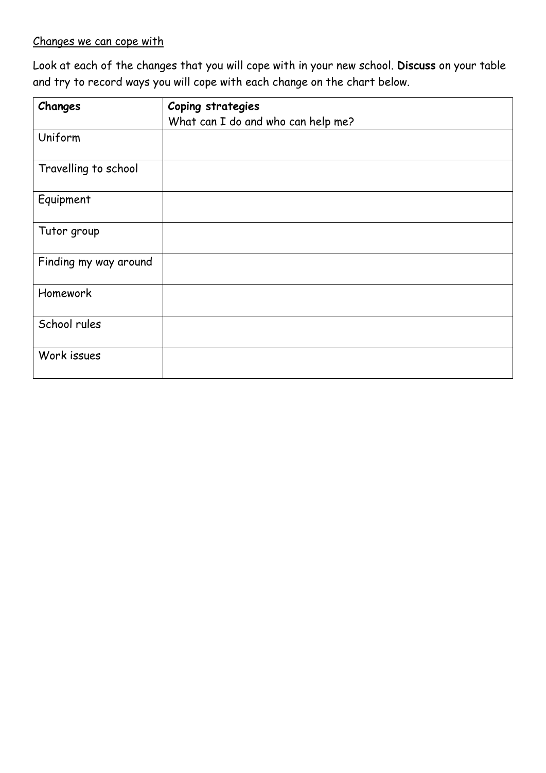# Changes we can cope with

Look at each of the changes that you will cope with in your new school. **Discuss** on your table and try to record ways you will cope with each change on the chart below.

| Changes               | Coping strategies                  |
|-----------------------|------------------------------------|
|                       | What can I do and who can help me? |
| Uniform               |                                    |
| Travelling to school  |                                    |
| Equipment             |                                    |
| Tutor group           |                                    |
| Finding my way around |                                    |
| Homework              |                                    |
| School rules          |                                    |
| Work issues           |                                    |